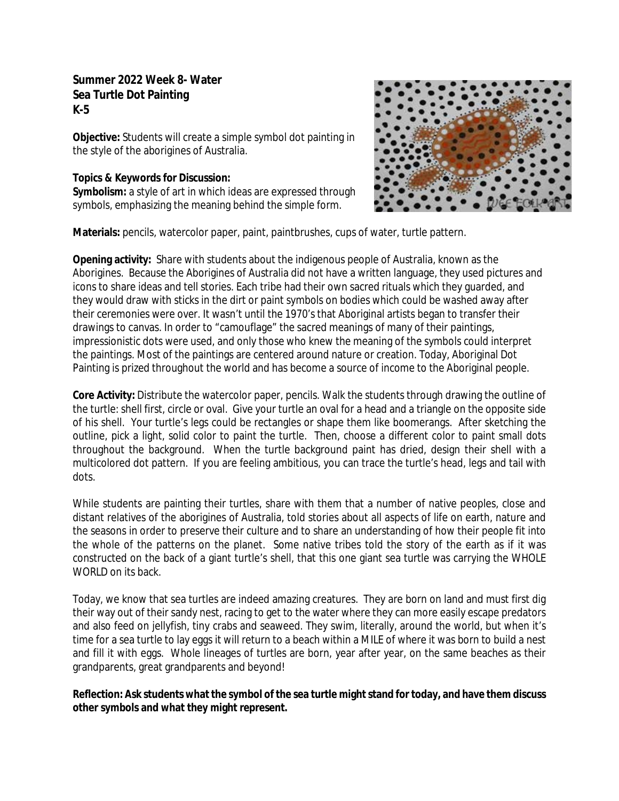## **Summer 2022 Week 8- Water Sea Turtle Dot Painting K-5**

**Objective:** Students will create a simple symbol dot painting in the style of the aborigines of Australia.

## **Topics & Keywords for Discussion:**

**Symbolism:** a style of art in which ideas are expressed through symbols, emphasizing the meaning behind the simple form.



**Materials:** pencils, watercolor paper, paint, paintbrushes, cups of water, turtle pattern.

**Opening activity:** Share with students about the indigenous people of Australia, known as the Aborigines. Because the Aborigines of Australia did not have a written language, they used pictures and icons to share ideas and tell stories. Each tribe had their own sacred rituals which they guarded, and they would draw with sticks in the dirt or paint symbols on bodies which could be washed away after their ceremonies were over. It wasn't until the 1970's that Aboriginal artists began to transfer their drawings to canvas. In order to "camouflage" the sacred meanings of many of their paintings, impressionistic dots were used, and only those who knew the meaning of the symbols could interpret the paintings. Most of the paintings are centered around nature or creation. Today, Aboriginal Dot Painting is prized throughout the world and has become a source of income to the Aboriginal people.

**Core Activity:** Distribute the watercolor paper, pencils. Walk the students through drawing the outline of the turtle: shell first, circle or oval. Give your turtle an oval for a head and a triangle on the opposite side of his shell. Your turtle's legs could be rectangles or shape them like boomerangs. After sketching the outline, pick a light, solid color to paint the turtle. Then, choose a different color to paint small dots throughout the background. When the turtle background paint has dried, design their shell with a multicolored dot pattern. If you are feeling ambitious, you can trace the turtle's head, legs and tail with dots.

While students are painting their turtles, share with them that a number of native peoples, close and distant relatives of the aborigines of Australia, told stories about all aspects of life on earth, nature and the seasons in order to preserve their culture and to share an understanding of how their people fit into the whole of the patterns on the planet. Some native tribes told the story of the earth as if it was constructed on the back of a giant turtle's shell, that this one giant sea turtle was carrying the WHOLE WORLD on its back.

Today, we know that sea turtles are indeed amazing creatures. They are born on land and must first dig their way out of their sandy nest, racing to get to the water where they can more easily escape predators and also feed on jellyfish, tiny crabs and seaweed. They swim, literally, around the world, but when it's time for a sea turtle to lay eggs it will return to a beach within a MILE of where it was born to build a nest and fill it with eggs. Whole lineages of turtles are born, year after year, on the same beaches as their grandparents, great grandparents and beyond!

**Reflection: Ask students what the symbol of the sea turtle might stand for today, and have them discuss other symbols and what they might represent.**